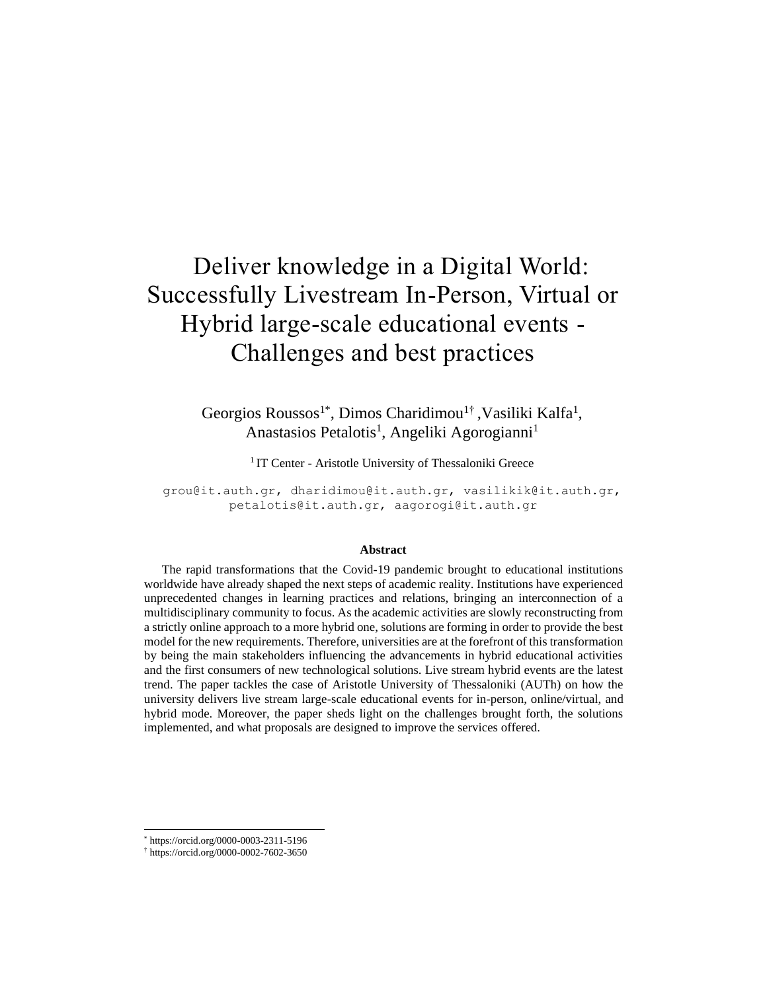# Deliver knowledge in a Digital World: Successfully Livestream In-Person, Virtual or Hybrid large-scale educational events - Challenges and best practices

Georgios Roussos<sup>1\*</sup>, Dimos Charidimou<sup>1†</sup>, Vasiliki Kalfa<sup>1</sup>, Anastasios Petalotis<sup>1</sup>, Angeliki Agorogianni<sup>1</sup>

<sup>1</sup> IT Center - Aristotle University of Thessaloniki Greece

grou@it.auth.gr, dharidimou@it.auth.gr, vasilikik@it.auth.gr, petalotis@it.auth.gr, aagorogi@it.auth.gr

#### **Abstract**

The rapid transformations that the Covid-19 pandemic brought to educational institutions worldwide have already shaped the next steps of academic reality. Institutions have experienced unprecedented changes in learning practices and relations, bringing an interconnection of a multidisciplinary community to focus. As the academic activities are slowly reconstructing from a strictly online approach to a more hybrid one, solutions are forming in order to provide the best model for the new requirements. Therefore, universities are at the forefront of this transformation by being the main stakeholders influencing the advancements in hybrid educational activities and the first consumers of new technological solutions. Live stream hybrid events are the latest trend. The paper tackles the case of Aristotle University of Thessaloniki (AUTh) on how the university delivers live stream large-scale educational events for in-person, online/virtual, and hybrid mode. Moreover, the paper sheds light on the challenges brought forth, the solutions implemented, and what proposals are designed to improve the services offered.

<sup>\*</sup> https://orcid.org/0000-0003-2311-5196

<sup>†</sup> https://orcid.org/0000-0002-7602-3650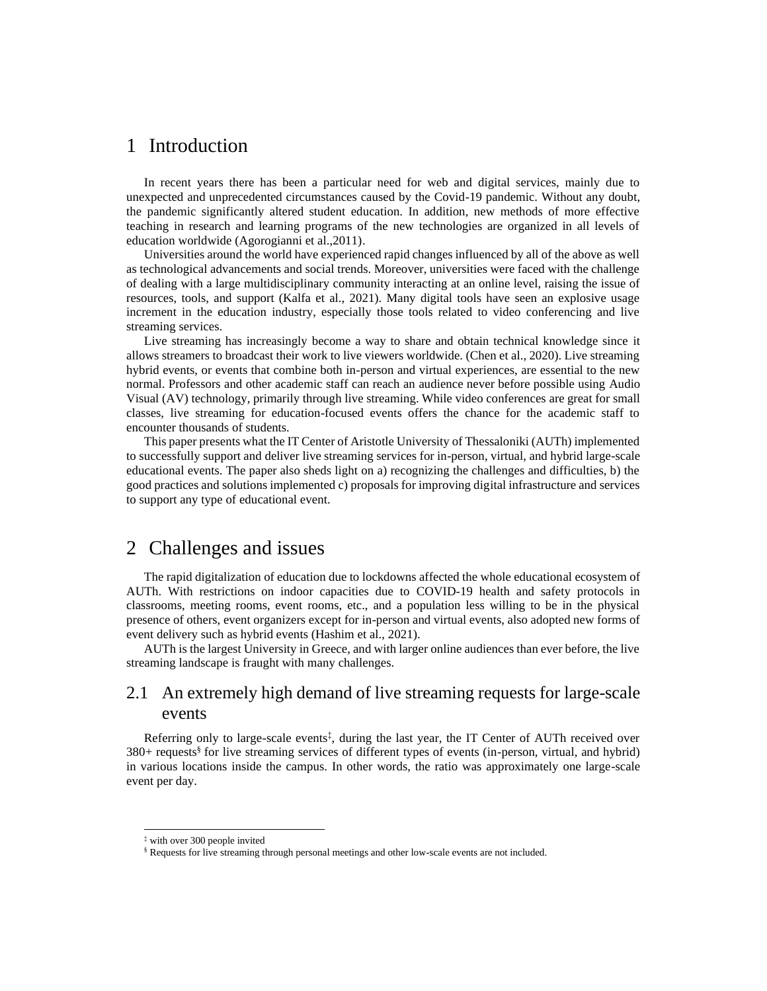# 1 Introduction

In recent years there has been a particular need for web and digital services, mainly due to unexpected and unprecedented circumstances caused by the Covid-19 pandemic. Without any doubt, the pandemic significantly altered student education. In addition, new methods of more effective teaching in research and learning programs of the new technologies are organized in all levels of education worldwide (Agorogianni et al.,2011).

Universities around the world have experienced rapid changes influenced by all of the above as well as technological advancements and social trends. Moreover, universities were faced with the challenge of dealing with a large multidisciplinary community interacting at an online level, raising the issue of resources, tools, and support (Kalfa et al., 2021). Many digital tools have seen an explosive usage increment in the education industry, especially those tools related to video conferencing and live streaming services.

Live streaming has increasingly become a way to share and obtain technical knowledge since it allows streamers to broadcast their work to live viewers worldwide. (Chen et al., 2020). Live streaming hybrid events, or events that combine both in-person and virtual experiences, are essential to the new normal. Professors and other academic staff can reach an audience never before possible using Audio Visual (AV) technology, primarily through live streaming. While video conferences are great for small classes, live streaming for education-focused events offers the chance for the academic staff to encounter thousands of students.

This paper presents what the IT Center of Aristotle University of Thessaloniki (AUTh) implemented to successfully support and deliver live streaming services for in-person, virtual, and hybrid large-scale educational events. The paper also sheds light on a) recognizing the challenges and difficulties, b) the good practices and solutions implemented c) proposals for improving digital infrastructure and services to support any type of educational event.

## 2 Challenges and issues

The rapid digitalization of education due to lockdowns affected the whole educational ecosystem of AUTh. With restrictions on indoor capacities due to COVID-19 health and safety protocols in classrooms, meeting rooms, event rooms, etc., and a population less willing to be in the physical presence of others, event organizers except for in-person and virtual events, also adopted new forms of event delivery such as hybrid events (Hashim et al., 2021).

AUTh is the largest University in Greece, and with larger online audiences than ever before, the live streaming landscape is fraught with many challenges.

### 2.1 An extremely high demand of live streaming requests for large-scale events

Referring only to large-scale events<sup> $\ddagger$ </sup>, during the last year, the IT Center of AUTh received over 380+ requests§ for live streaming services of different types of events (in-person, virtual, and hybrid) in various locations inside the campus. In other words, the ratio was approximately one large-scale event per day.

<sup>‡</sup> with over 300 people invited

<sup>§</sup> Requests for live streaming through personal meetings and other low-scale events are not included.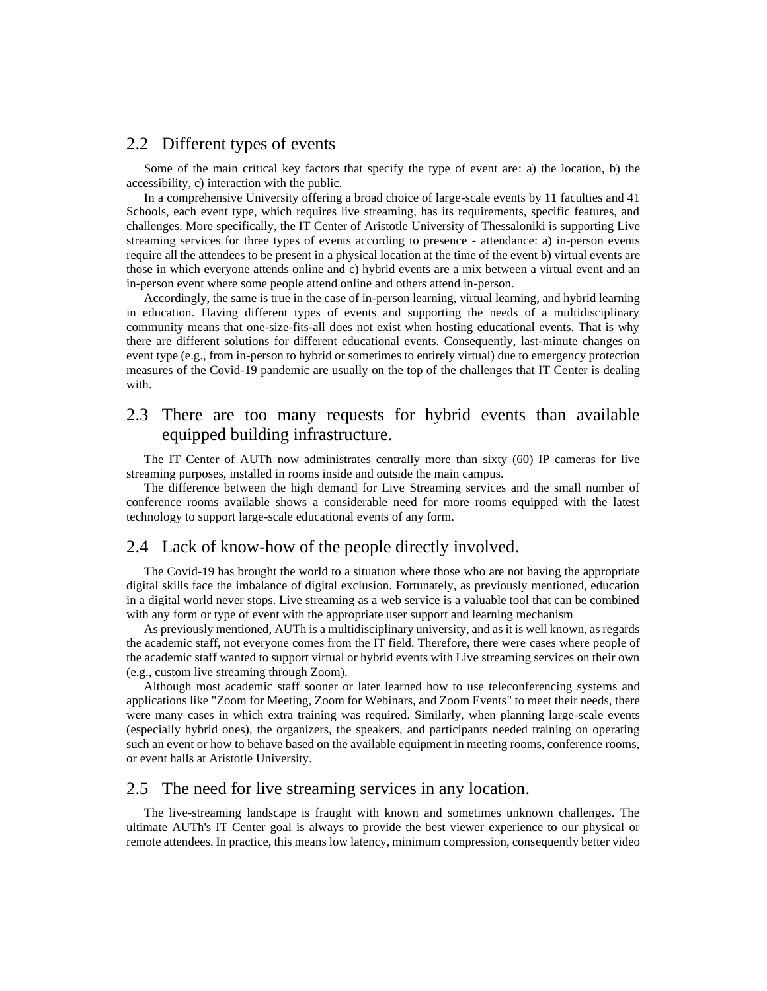#### 2.2 Different types of events

Some of the main critical key factors that specify the type of event are: a) the location, b) the accessibility, c) interaction with the public.

In a comprehensive University offering a broad choice of large-scale events by 11 faculties and 41 Schools, each event type, which requires live streaming, has its requirements, specific features, and challenges. More specifically, the IT Center of Aristotle University of Thessaloniki is supporting Live streaming services for three types of events according to presence - attendance: a) in-person events require all the attendees to be present in a physical location at the time of the event b) virtual events are those in which everyone attends online and c) hybrid events are a mix between a virtual event and an in-person event where some people attend online and others attend in-person.

Accordingly, the same is true in the case of in-person learning, virtual learning, and hybrid learning in education. Having different types of events and supporting the needs of a multidisciplinary community means that one-size-fits-all does not exist when hosting educational events. That is why there are different solutions for different educational events. Consequently, last-minute changes on event type (e.g., from in-person to hybrid or sometimes to entirely virtual) due to emergency protection measures of the Covid-19 pandemic are usually on the top of the challenges that IT Center is dealing with.

### 2.3 There are too many requests for hybrid events than available equipped building infrastructure.

The IT Center of AUTh now administrates centrally more than sixty (60) IP cameras for live streaming purposes, installed in rooms inside and outside the main campus.

The difference between the high demand for Live Streaming services and the small number of conference rooms available shows a considerable need for more rooms equipped with the latest technology to support large-scale educational events of any form.

#### 2.4 Lack of know-how of the people directly involved.

The Covid-19 has brought the world to a situation where those who are not having the appropriate digital skills face the imbalance of digital exclusion. Fortunately, as previously mentioned, education in a digital world never stops. Live streaming as a web service is a valuable tool that can be combined with any form or type of event with the appropriate user support and learning mechanism

As previously mentioned, AUTh is a multidisciplinary university, and as it is well known, as regards the academic staff, not everyone comes from the IT field. Therefore, there were cases where people of the academic staff wanted to support virtual or hybrid events with Live streaming services on their own (e.g., custom live streaming through Zoom).

Although most academic staff sooner or later learned how to use teleconferencing systems and applications like "Zoom for Meeting, Zoom for Webinars, and Zoom Events" to meet their needs, there were many cases in which extra training was required. Similarly, when planning large-scale events (especially hybrid ones), the organizers, the speakers, and participants needed training on operating such an event or how to behave based on the available equipment in meeting rooms, conference rooms, or event halls at Aristotle University.

#### 2.5 The need for live streaming services in any location.

The live-streaming landscape is fraught with known and sometimes unknown challenges. The ultimate AUTh's IT Center goal is always to provide the best viewer experience to our physical or remote attendees. In practice, this means low latency, minimum compression, consequently better video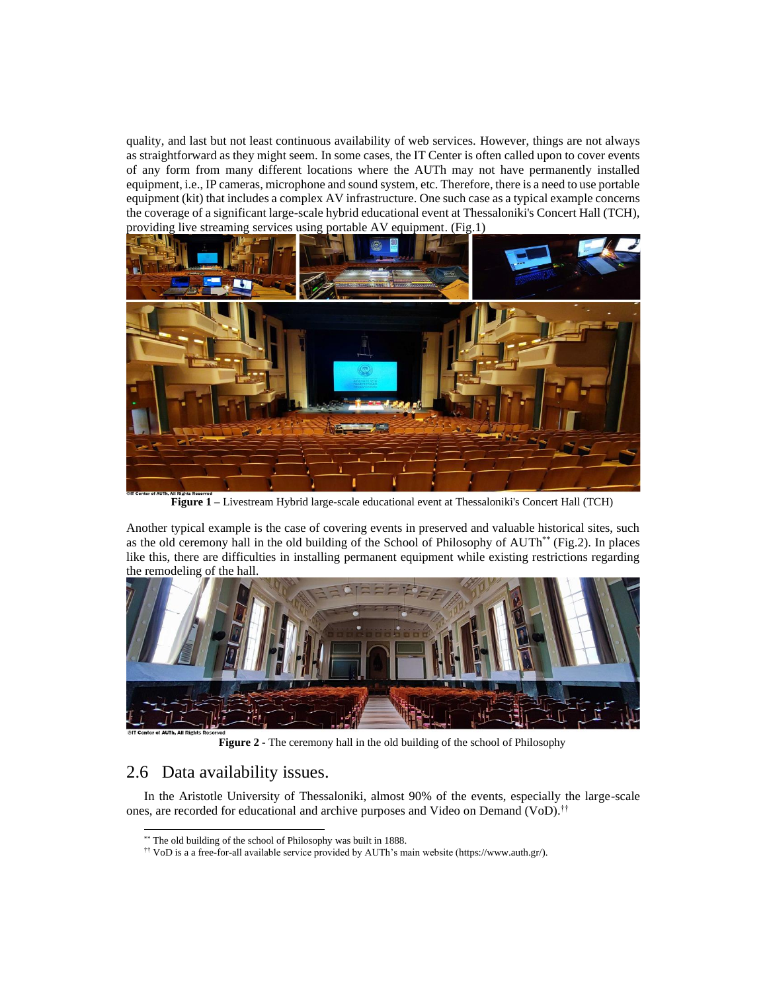quality, and last but not least continuous availability of web services. However, things are not always as straightforward as they might seem. In some cases, the IT Center is often called upon to cover events of any form from many different locations where the AUTh may not have permanently installed equipment, i.e., IP cameras, microphone and sound system, etc. Therefore, there is a need to use portable equipment (kit) that includes a complex AV infrastructure. One such case as a typical example concerns the coverage of a significant large-scale hybrid educational event at Thessaloniki's Concert Hall (TCH), providing live streaming services using portable AV equipment. (Fig.1)



**Figure 1 –** Livestream Hybrid large-scale educational event at Thessaloniki's Concert Hall (TCH)

Another typical example is the case of covering events in preserved and valuable historical sites, such as the old ceremony hall in the old building of the School of Philosophy of AUTh\*\* (Fig.2). In places like this, there are difficulties in installing permanent equipment while existing restrictions regarding the remodeling of the hall.



**Figure 2 -** The ceremony hall in the old building of the school of Philosophy

# 2.6 Data availability issues.

In the Aristotle University of Thessaloniki, almost 90% of the events, especially the large-scale ones, are recorded for educational and archive purposes and Video on Demand (VoD). ††

<sup>\*\*</sup> The old building of the school of Philosophy was built in 1888.

<sup>††</sup> VoD is a a free-for-all available service provided by AUTh's main website (https://www.auth.gr/).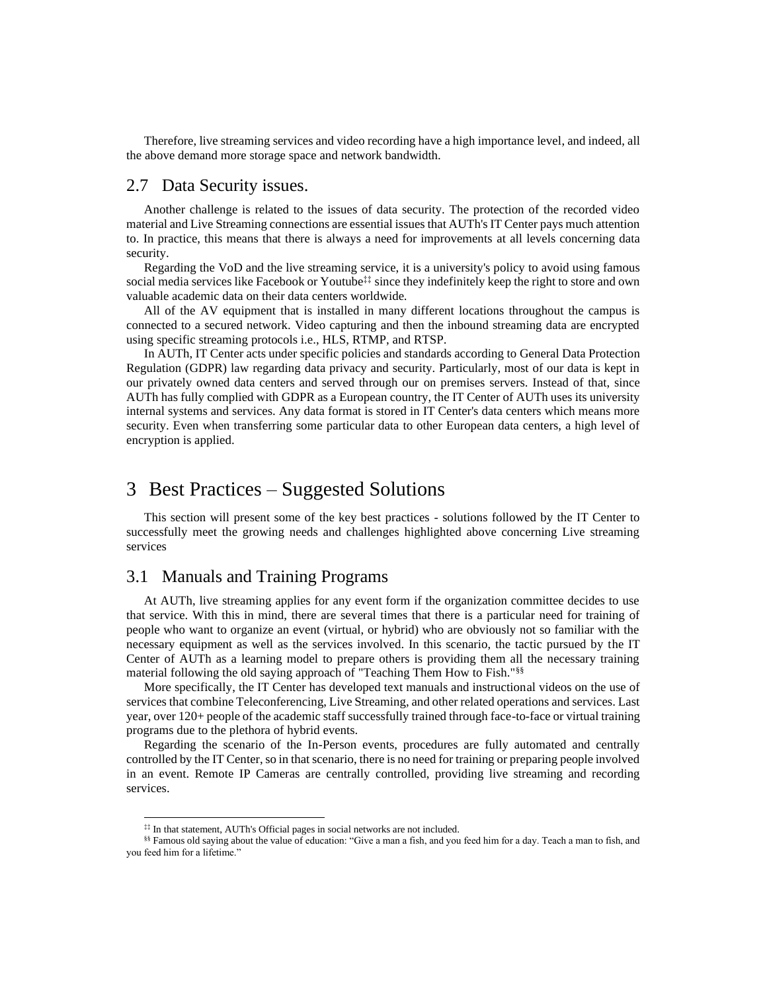Therefore, live streaming services and video recording have a high importance level, and indeed, all the above demand more storage space and network bandwidth.

#### 2.7 Data Security issues.

Another challenge is related to the issues of data security. The protection of the recorded video material and Live Streaming connections are essential issues that AUTh's IT Center pays much attention to. In practice, this means that there is always a need for improvements at all levels concerning data security.

Regarding the VoD and the live streaming service, it is a university's policy to avoid using famous social media services like Facebook or Youtube<sup>‡‡</sup> since they indefinitely keep the right to store and own valuable academic data on their data centers worldwide.

All of the AV equipment that is installed in many different locations throughout the campus is connected to a secured network. Video capturing and then the inbound streaming data are encrypted using specific streaming protocols i.e., HLS, RTMP, and RTSP.

In AUTh, IT Center acts under specific policies and standards according to General Data Protection Regulation (GDPR) law regarding data privacy and security. Particularly, most of our data is kept in our privately owned data centers and served through our on premises servers. Instead of that, since AUTh has fully complied with GDPR as a European country, the IT Center of AUTh uses its university internal systems and services. Any data format is stored in IT Center's data centers which means more security. Even when transferring some particular data to other European data centers, a high level of encryption is applied.

# 3 Best Practices – Suggested Solutions

This section will present some of the key best practices - solutions followed by the IT Center to successfully meet the growing needs and challenges highlighted above concerning Live streaming services

#### 3.1 Manuals and Training Programs

At AUTh, live streaming applies for any event form if the organization committee decides to use that service. With this in mind, there are several times that there is a particular need for training of people who want to organize an event (virtual, or hybrid) who are obviously not so familiar with the necessary equipment as well as the services involved. In this scenario, the tactic pursued by the IT Center of AUTh as a learning model to prepare others is providing them all the necessary training material following the old saying approach of "Teaching Them How to Fish."§§

More specifically, the IT Center has developed text manuals and instructional videos on the use of services that combine Teleconferencing, Live Streaming, and other related operations and services. Last year, over 120+ people of the academic staff successfully trained through face-to-face or virtual training programs due to the plethora of hybrid events.

Regarding the scenario of the In-Person events, procedures are fully automated and centrally controlled by the IT Center, so in that scenario, there is no need for training or preparing people involved in an event. Remote IP Cameras are centrally controlled, providing live streaming and recording services.

<sup>‡‡</sup> In that statement, AUTh's Official pages in social networks are not included.

<sup>§§</sup> Famous old saying about the value of education: "Give a man a fish, and you feed him for a day. Teach a man to fish, and you feed him for a lifetime."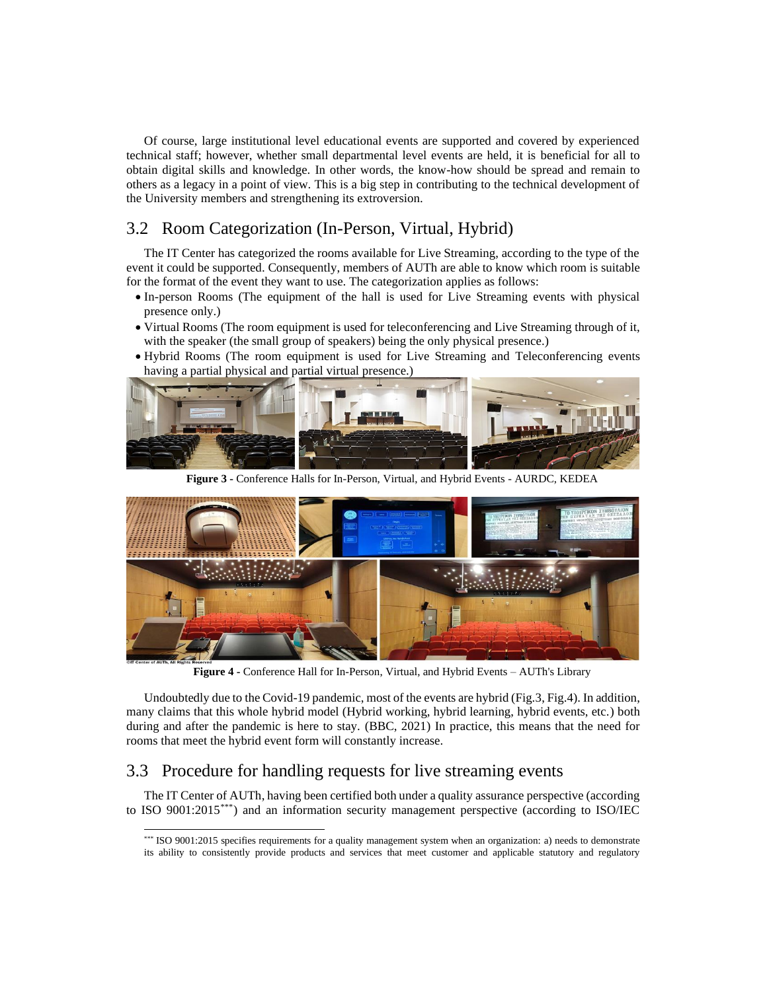Of course, large institutional level educational events are supported and covered by experienced technical staff; however, whether small departmental level events are held, it is beneficial for all to obtain digital skills and knowledge. In other words, the know-how should be spread and remain to others as a legacy in a point of view. This is a big step in contributing to the technical development of the University members and strengthening its extroversion.

### 3.2 Room Categorization (In-Person, Virtual, Hybrid)

The IT Center has categorized the rooms available for Live Streaming, according to the type of the event it could be supported. Consequently, members of AUTh are able to know which room is suitable for the format of the event they want to use. The categorization applies as follows:

- In-person Rooms (The equipment of the hall is used for Live Streaming events with physical presence only.)
- Virtual Rooms (The room equipment is used for teleconferencing and Live Streaming through of it, with the speaker (the small group of speakers) being the only physical presence.)
- Hybrid Rooms (The room equipment is used for Live Streaming and Teleconferencing events having a partial physical and partial virtual presence.)



**Figure 3 -** Conference Halls for In-Person, Virtual, and Hybrid Events - AURDC, KEDEA



**Figure 4 -** Conference Hall for In-Person, Virtual, and Hybrid Events – AUTh's Library

Undoubtedly due to the Covid-19 pandemic, most of the events are hybrid (Fig.3, Fig.4). In addition, many claims that this whole hybrid model (Hybrid working, hybrid learning, hybrid events, etc.) both during and after the pandemic is here to stay. (BBC, 2021) In practice, this means that the need for rooms that meet the hybrid event form will constantly increase.

### 3.3 Procedure for handling requests for live streaming events

The IT Center of AUTh, having been certified both under a quality assurance perspective (according to ISO 9001:2015\*\*\*) and an information security management perspective (according to ISO/IEC

<sup>\*\*\*</sup> ISO 9001:2015 specifies requirements for a quality management system when an organization: a) needs to demonstrate its ability to consistently provide products and services that meet customer and applicable statutory and regulatory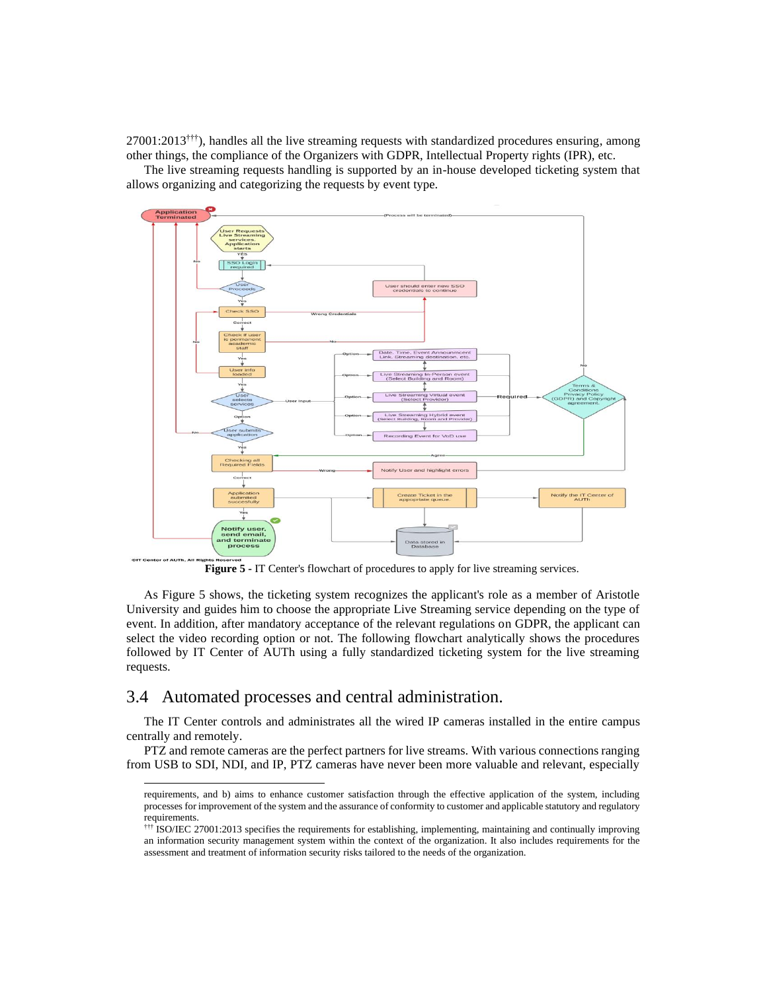27001:2013†††), handles all the live streaming requests with standardized procedures ensuring, among other things, the compliance of the Organizers with GDPR, Intellectual Property rights (IPR), etc.

The live streaming requests handling is supported by an in-house developed ticketing system that allows organizing and categorizing the requests by event type.



**Figure 5 -** IT Center's flowchart of procedures to apply for live streaming services.

Αs Figure 5 shows, the ticketing system recognizes the applicant's role as a member of Aristotle University and guides him to choose the appropriate Live Streaming service depending on the type of event. In addition, after mandatory acceptance of the relevant regulations on GDPR, the applicant can select the video recording option or not. The following flowchart analytically shows the procedures followed by IT Center of AUTh using a fully standardized ticketing system for the live streaming requests.

#### 3.4 Automated processes and central administration.

The IT Center controls and administrates all the wired IP cameras installed in the entire campus centrally and remotely.

PTZ and remote cameras are the perfect partners for live streams. With various connections ranging from USB to SDI, NDI, and IP, PTZ cameras have never been more valuable and relevant, especially

requirements, and b) aims to enhance customer satisfaction through the effective application of the system, including processes for improvement of the system and the assurance of conformity to customer and applicable statutory and regulatory requirements.

<sup>†††</sup> ISO/IEC 27001:2013 specifies the requirements for establishing, implementing, maintaining and continually improving an information security management system within the context of the organization. It also includes requirements for the assessment and treatment of information security risks tailored to the needs of the organization.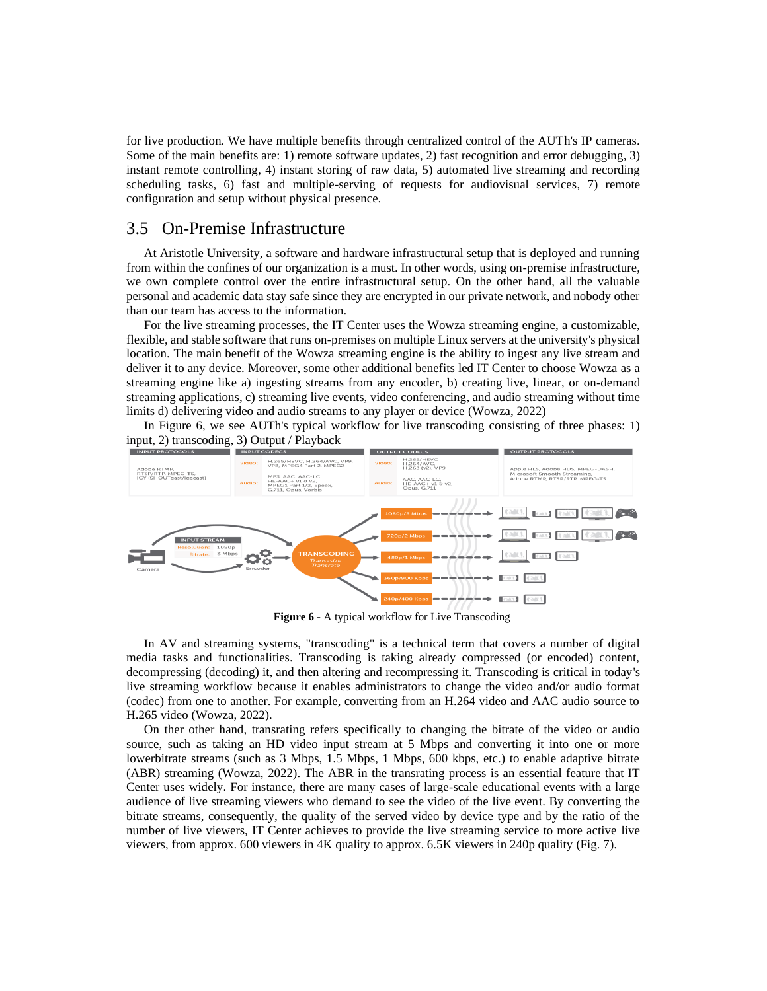for live production. We have multiple benefits through centralized control of the AUTh's IP cameras. Some of the main benefits are: 1) remote software updates, 2) fast recognition and error debugging, 3) instant remote controlling, 4) instant storing of raw data, 5) automated live streaming and recording scheduling tasks, 6) fast and multiple-serving of requests for audiovisual services, 7) remote configuration and setup without physical presence.

#### 3.5 On-Premise Infrastructure

At Aristotle University, a software and hardware infrastructural setup that is deployed and running from within the confines of our organization is a must. In other words, using on-premise infrastructure, we own complete control over the entire infrastructural setup. On the other hand, all the valuable personal and academic data stay safe since they are encrypted in our private network, and nobody other than our team has access to the information.

For the live streaming processes, the IT Center uses the Wowza streaming engine, a customizable, flexible, and stable software that runs on-premises on multiple Linux servers at the university's physical location. The main benefit of the Wowza streaming engine is the ability to ingest any live stream and deliver it to any device. Moreover, some other additional benefits led IT Center to choose Wowza as a streaming engine like a) ingesting streams from any encoder, b) creating live, linear, or on-demand streaming applications, c) streaming live events, video conferencing, and audio streaming without time limits d) delivering video and audio streams to any player or device (Wowza, 2022)

In Figure 6, we see AUTh's typical workflow for live transcoding consisting of three phases: 1) input, 2) transcoding, 3) Output / Playback



**Figure 6 -** A typical workflow for Live Transcoding

In AV and streaming systems, "transcoding" is a technical term that covers a number of digital media tasks and functionalities. Transcoding is taking already compressed (or encoded) content, decompressing (decoding) it, and then altering and recompressing it. Transcoding is critical in today's live streaming workflow because it enables administrators to change the video and/or audio format (codec) from one to another. For example, converting from an H.264 video and AAC audio source to H.265 video (Wowza, 2022).

On ther other hand, transrating refers specifically to changing the bitrate of the video or audio source, such as taking an HD video input stream at 5 Mbps and converting it into one or more lowerbitrate streams (such as 3 Mbps, 1.5 Mbps, 1 Mbps, 600 kbps, etc.) to enable adaptive bitrate (ABR) streaming (Wowza, 2022). The ABR in the transrating process is an essential feature that IT Center uses widely. For instance, there are many cases of large-scale educational events with a large audience of live streaming viewers who demand to see the video of the live event. By converting the bitrate streams, consequently, the quality of the served video by device type and by the ratio of the number of live viewers, IT Center achieves to provide the live streaming service to more active live viewers, from approx. 600 viewers in 4K quality to approx. 6.5K viewers in 240p quality (Fig. 7).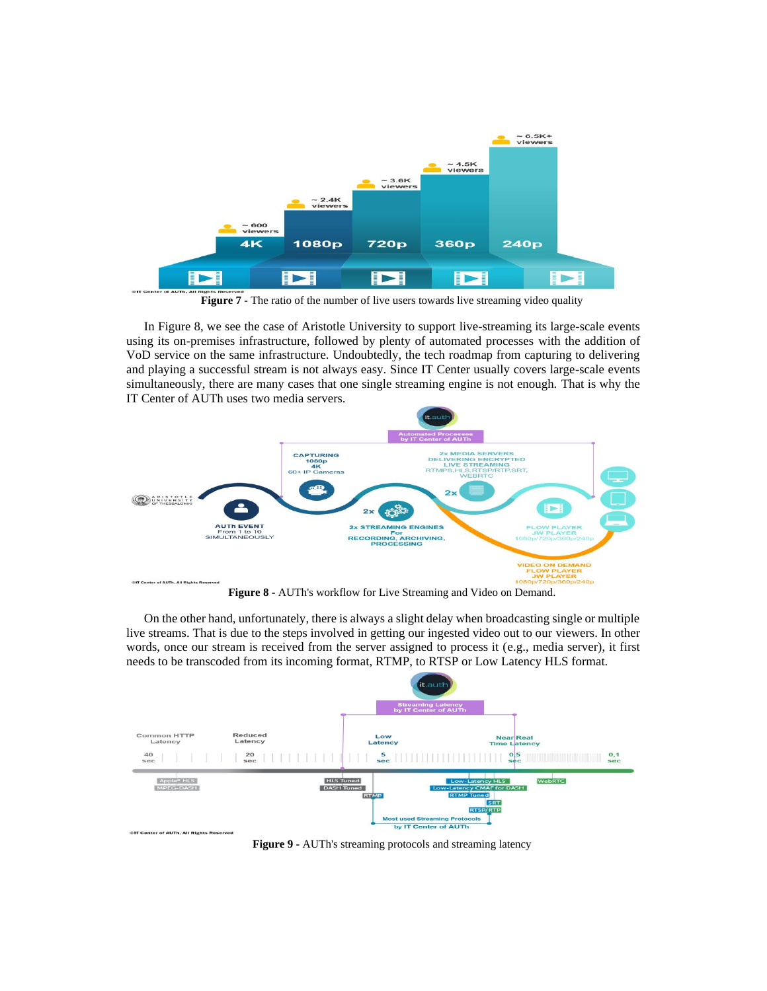

**Figure 7 -** The ratio of the number of live users towards live streaming video quality

In Figure 8, we see the case of Aristotle University to support live-streaming its large-scale events using its on-premises infrastructure, followed by plenty of automated processes with the addition of VoD service on the same infrastructure. Undoubtedly, the tech roadmap from capturing to delivering and playing a successful stream is not always easy. Since IT Center usually covers large-scale events simultaneously, there are many cases that one single streaming engine is not enough. That is why the IT Center of AUTh uses two media servers.



**Figure 8 -** AUTh's workflow for Live Streaming and Video on Demand.

On the other hand, unfortunately, there is always a slight delay when broadcasting single or multiple live streams. That is due to the steps involved in getting our ingested video out to our viewers. In other words, once our stream is received from the server assigned to process it (e.g., media server), it first needs to be transcoded from its incoming format, RTMP, to RTSP or Low Latency HLS format.



**Figure 9 -** AUTh's streaming protocols and streaming latency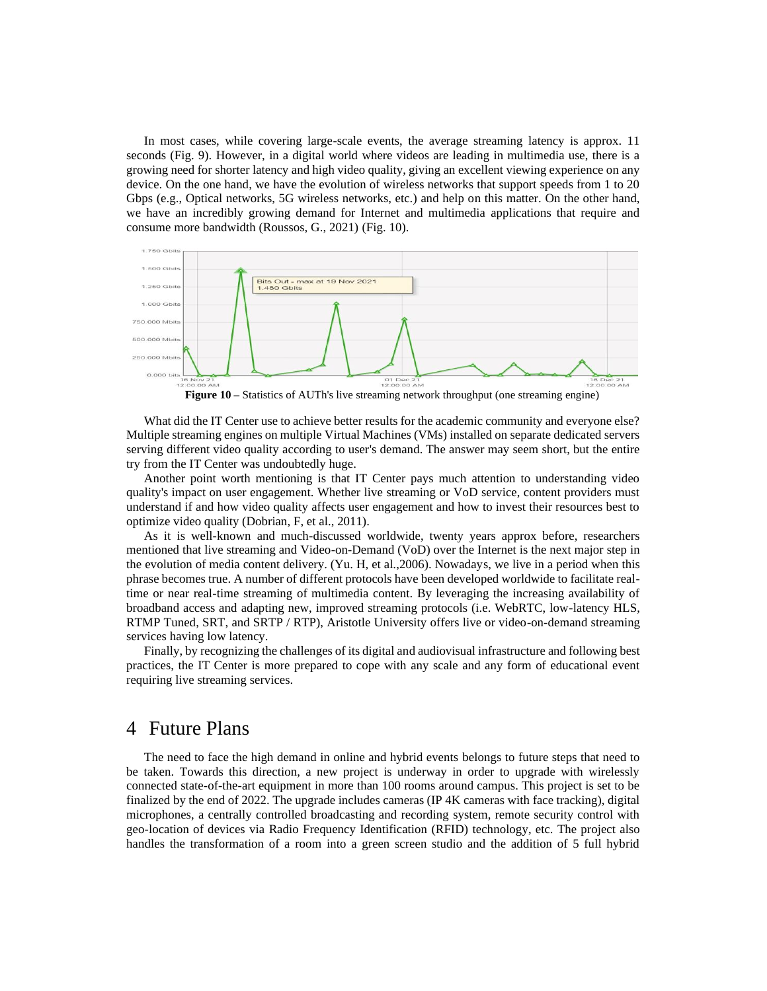In most cases, while covering large-scale events, the average streaming latency is approx. 11 seconds (Fig. 9). However, in a digital world where videos are leading in multimedia use, there is a growing need for shorter latency and high video quality, giving an excellent viewing experience on any device. On the one hand, we have the evolution of wireless networks that support speeds from 1 to 20 Gbps (e.g., Optical networks, 5G wireless networks, etc.) and help on this matter. On the other hand, we have an incredibly growing demand for Internet and multimedia applications that require and consume more bandwidth (Roussos, G., 2021) (Fig. 10).





What did the IT Center use to achieve better results for the academic community and everyone else? Multiple streaming engines on multiple Virtual Machines (VMs) installed on separate dedicated servers serving different video quality according to user's demand. The answer may seem short, but the entire try from the IT Center was undoubtedly huge.

Another point worth mentioning is that IT Center pays much attention to understanding video quality's impact on user engagement. Whether live streaming or VoD service, content providers must understand if and how video quality affects user engagement and how to invest their resources best to optimize video quality (Dobrian, F, et al., 2011).

As it is well-known and much-discussed worldwide, twenty years approx before, researchers mentioned that live streaming and Video-on-Demand (VoD) over the Internet is the next major step in the evolution of media content delivery. (Yu. H, et al.,2006). Nowadays, we live in a period when this phrase becomes true. A number of different protocols have been developed worldwide to facilitate realtime or near real-time streaming of multimedia content. By leveraging the increasing availability of broadband access and adapting new, improved streaming protocols (i.e. WebRTC, low-latency HLS, RTMP Tuned, SRT, and SRTP / RTP), Aristotle University offers live or video-on-demand streaming services having low latency.

Finally, by recognizing the challenges of its digital and audiovisual infrastructure and following best practices, the IT Center is more prepared to cope with any scale and any form of educational event requiring live streaming services.

### 4 Future Plans

The need to face the high demand in online and hybrid events belongs to future steps that need to be taken. Towards this direction, a new project is underway in order to upgrade with wirelessly connected state-of-the-art equipment in more than 100 rooms around campus. This project is set to be finalized by the end of 2022. The upgrade includes cameras (IP 4K cameras with face tracking), digital microphones, a centrally controlled broadcasting and recording system, remote security control with geo-location of devices via Radio Frequency Identification (RFID) technology, etc. The project also handles the transformation of a room into a green screen studio and the addition of 5 full hybrid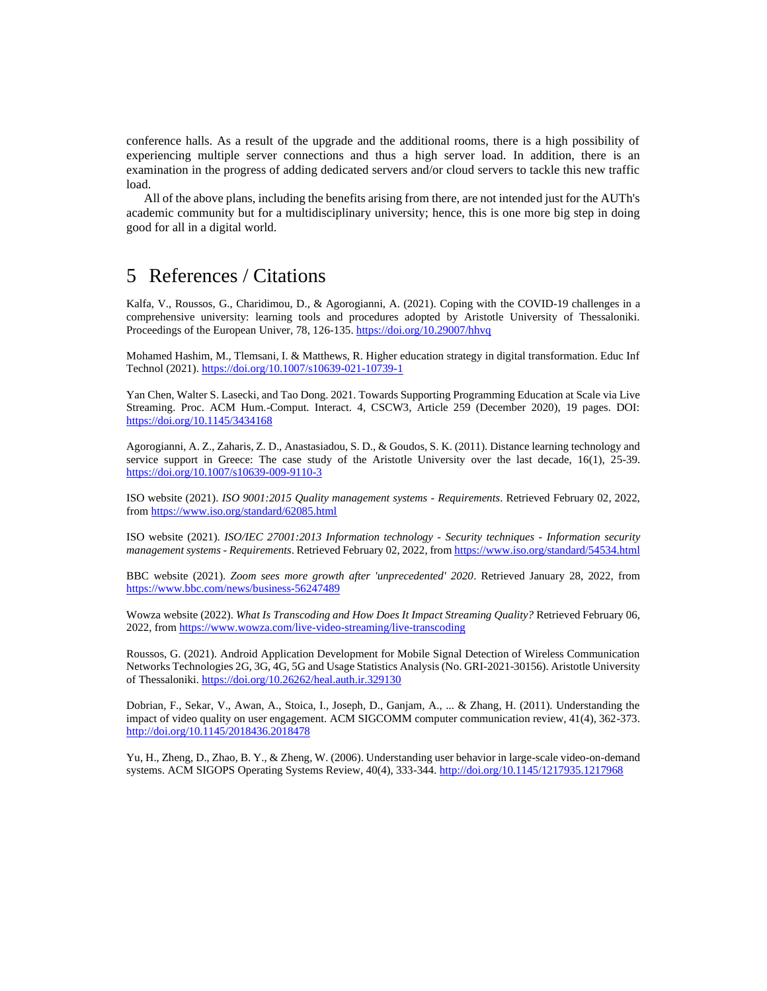conference halls. As a result of the upgrade and the additional rooms, there is a high possibility of experiencing multiple server connections and thus a high server load. In addition, there is an examination in the progress of adding dedicated servers and/or cloud servers to tackle this new traffic load.

All of the above plans, including the benefits arising from there, are not intended just for the AUTh's academic community but for a multidisciplinary university; hence, this is one more big step in doing good for all in a digital world.

# 5 References / Citations

Kalfa, V., Roussos, G., Charidimou, D., & Agorogianni, A. (2021). Coping with the COVID-19 challenges in a comprehensive university: learning tools and procedures adopted by Aristotle University of Thessaloniki. Proceedings of the European Univer, 78, 126-135[. https://doi.org/10.29007/hhvq](https://doi.org/10.29007/hhvq)

Mohamed Hashim, M., Tlemsani, I. & Matthews, R. Higher education strategy in digital transformation. Educ Inf Technol (2021).<https://doi.org/10.1007/s10639-021-10739-1>

Yan Chen, Walter S. Lasecki, and Tao Dong. 2021. Towards Supporting Programming Education at Scale via Live Streaming. Proc. ACM Hum.-Comput. Interact. 4, CSCW3, Article 259 (December 2020), 19 pages. DOI: <https://doi.org/10.1145/3434168>

Agorogianni, A. Z., Zaharis, Z. D., Anastasiadou, S. D., & Goudos, S. K. (2011). Distance learning technology and service support in Greece: The case study of the Aristotle University over the last decade, 16(1), 25-39. <https://doi.org/10.1007/s10639-009-9110-3>

ISO website (2021). *ISO 9001:2015 Quality management systems - Requirements*. Retrieved February 02, 2022, fro[m https://www.iso.org/standard/62085.html](https://www.iso.org/standard/62085.html)

ISO website (2021). *ISO/IEC 27001:2013 Information technology - Security techniques - Information security management systems - Requirements*. Retrieved February 02, 2022, from<https://www.iso.org/standard/54534.html>

BBC website (2021). *Zoom sees more growth after 'unprecedented' 2020*. Retrieved January 28, 2022, from <https://www.bbc.com/news/business-56247489>

Wowza website (2022). *What Is Transcoding and How Does It Impact Streaming Quality?* Retrieved February 06, 2022, fro[m https://www.wowza.com/live-video-streaming/live-transcoding](https://www.wowza.com/live-video-streaming/live-transcoding)

Roussos, G. (2021). Android Application Development for Mobile Signal Detection of Wireless Communication Networks Technologies 2G, 3G, 4G, 5G and Usage Statistics Analysis (No. GRI-2021-30156). Aristotle University of Thessaloniki.<https://doi.org/10.26262/heal.auth.ir.329130>

Dobrian, F., Sekar, V., Awan, A., Stoica, I., Joseph, D., Ganjam, A., ... & Zhang, H. (2011). Understanding the impact of video quality on user engagement. ACM SIGCOMM computer communication review, 41(4), 362-373. <http://doi.org/10.1145/2018436.2018478>

Yu, H., Zheng, D., Zhao, B. Y., & Zheng, W. (2006). Understanding user behavior in large-scale video-on-demand systems. ACM SIGOPS Operating Systems Review, 40(4), 333-344.<http://doi.org/10.1145/1217935.1217968>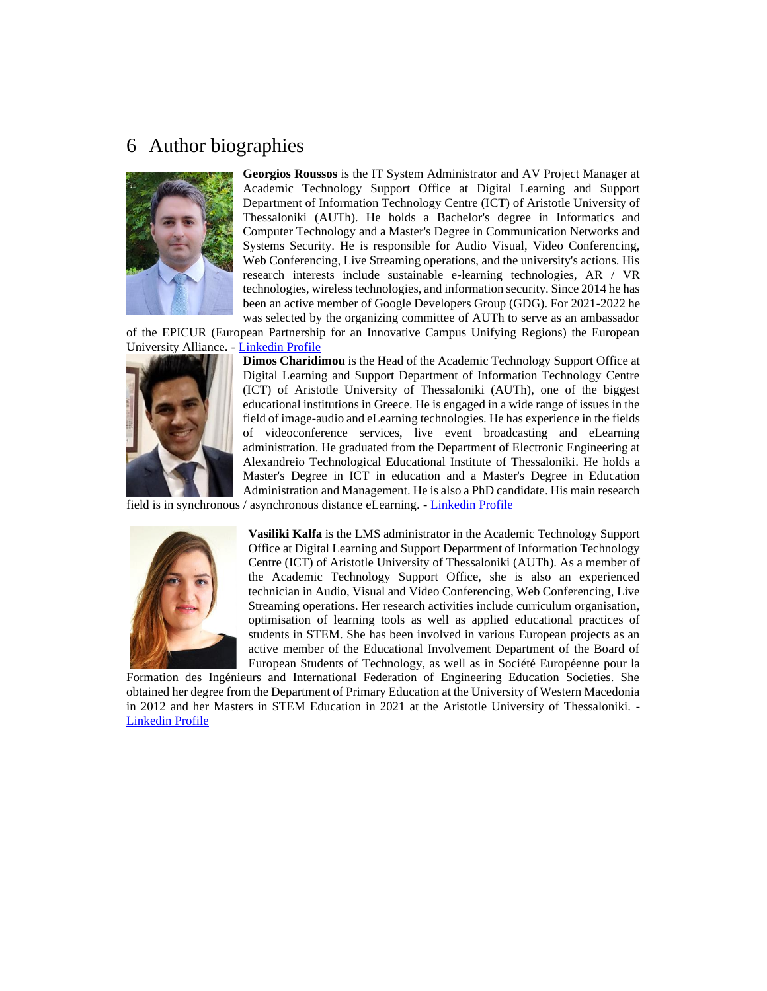# 6 Author biographies



**Georgios Roussos** is the IT System Administrator and AV Project Manager at Academic Technology Support Office at Digital Learning and Support Department of Information Technology Centre (ICT) of Aristotle University of Thessaloniki (AUTh). He holds a Bachelor's degree in Informatics and Computer Technology and a Master's Degree in Communication Networks and Systems Security. He is responsible for Audio Visual, Video Conferencing, Web Conferencing, Live Streaming operations, and the university's actions. His research interests include sustainable e-learning technologies, AR / VR technologies, wireless technologies, and information security. Since 2014 he has been an active member of Google Developers Group (GDG). For 2021-2022 he was selected by the organizing committee of AUTh to serve as an ambassador

of the EPICUR (European Partnership for an Innovative Campus Unifying Regions) the European University Alliance. - [Linkedin Profile](https://www.linkedin.com/in/georgios-roussos/)



**Dimos Charidimou** is the Head of the Academic Technology Support Office at Digital Learning and Support Department of Information Technology Centre (ICT) of Aristotle University of Thessaloniki (AUTh), one of the biggest educational institutions in Greece. He is engaged in a wide range of issues in the field of image-audio and eLearning technologies. He has experience in the fields of videoconference services, live event broadcasting and eLearning administration. He graduated from the Department of Electronic Engineering at Alexandreio Technological Educational Institute of Thessaloniki. He holds a Master's Degree in ICT in education and a Master's Degree in Education Administration and Management. He is also a PhD candidate. His main research field is in synchronous / asynchronous distance eLearning. - [Linkedin Profile](https://www.linkedin.com/in/dimos-charidemou/)



**Vasiliki Kalfa** is the LMS administrator in the Academic Technology Support Office at Digital Learning and Support Department of Information Technology Centre (ICT) of Aristotle University of Thessaloniki (AUTh). As a member of the Academic Technology Support Office, she is also an experienced technician in Audio, Visual and Video Conferencing, Web Conferencing, Live Streaming operations. Her research activities include curriculum organisation, optimisation of learning tools as well as applied educational practices of students in STEM. She has been involved in various European projects as an active member of the Educational Involvement Department of the Board of European Students of Technology, as well as in Société Européenne pour la

Formation des Ingénieurs and International Federation of Engineering Education Societies. She obtained her degree from the Department of Primary Education at the University of Western Macedonia in 2012 and her Masters in STEM Education in 2021 at the Aristotle University of Thessaloniki. - [Linkedin Profile](https://www.linkedin.com/in/vasilikikalfa/)